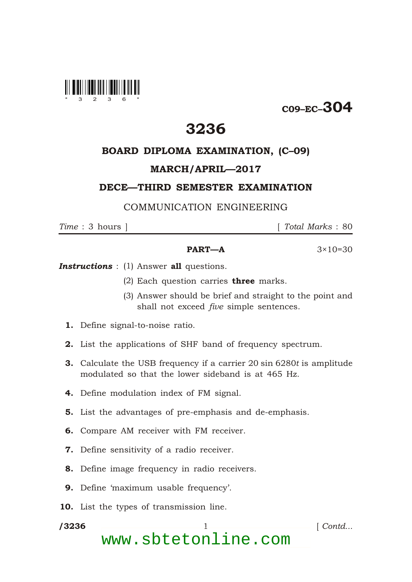

 $C_{09-EC}$ -304

# 3236

## BOARD DIPLOMA EXAMINATION, (C–09)

### MARCH/APRIL—2017

## DECE—THIRD SEMESTER EXAMINATION

#### COMMUNICATION ENGINEERING

\*

*Time* : 3 hours ] [ *Total Marks* : 80

#### **PART—A**  $3 \times 10 = 30$

**Instructions** : (1) Answer all questions.

- (2) Each question carries **three** marks.
- (3) Answer should be brief and straight to the point and shall not exceed *five* simple sentences.
- 1. Define signal-to-noise ratio.
- 2. List the applications of SHF band of frequency spectrum.
- 3. Calculate the USB frequency if a carrier 20 sin 6280*t* is amplitude modulated so that the lower sideband is at 465 Hz.
- 4. Define modulation index of FM signal.
- 5. List the advantages of pre-emphasis and de-emphasis.
- 6. Compare AM receiver with FM receiver.
- 7. Define sensitivity of a radio receiver.
- 8. Define image frequency in radio receivers.
- 9. Define 'maximum usable frequency'.
- 10. List the types of transmission line.

/3236 1 *Contd...* www.sbtetonline.com